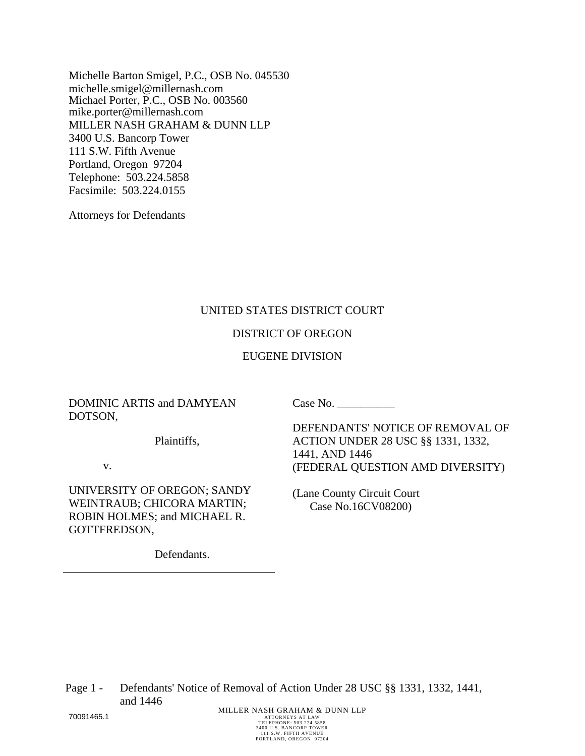Michelle Barton Smigel, P.C., OSB No. 045530 michelle.smigel@millernash.com Michael Porter, P.C., OSB No. 003560 mike.porter@millernash.com MILLER NASH GRAHAM & DUNN LLP 3400 U.S. Bancorp Tower 111 S.W. Fifth Avenue Portland, Oregon 97204 Telephone: 503.224.5858 Facsimile: 503.224.0155

Attorneys for Defendants

### UNITED STATES DISTRICT COURT

### DISTRICT OF OREGON

#### EUGENE DIVISION

DOMINIC ARTIS and DAMYEAN DOTSON,

Case No.

DEFENDANTS' NOTICE OF REMOVAL OF ACTION UNDER 28 USC §§ 1331, 1332, 1441, AND 1446 (FEDERAL QUESTION AMD DIVERSITY)

(Lane County Circuit Court Case No.16CV08200)

Plaintiffs,

v.

UNIVERSITY OF OREGON; SANDY WEINTRAUB; CHICORA MARTIN; ROBIN HOLMES; and MICHAEL R. GOTTFREDSON,

Defendants.

Page 1 - Defendants' Notice of Removal of Action Under 28 USC §§ 1331, 1332, 1441, and 1446 **70091465.1** MILLER NASH GRAHAM & DUNN LLP

TELEPHONE: 503.224.5858 3400 U.S. BANCORP TOWER 111 S.W. FIFTH AVENUE PORTLAND, OREGON 97204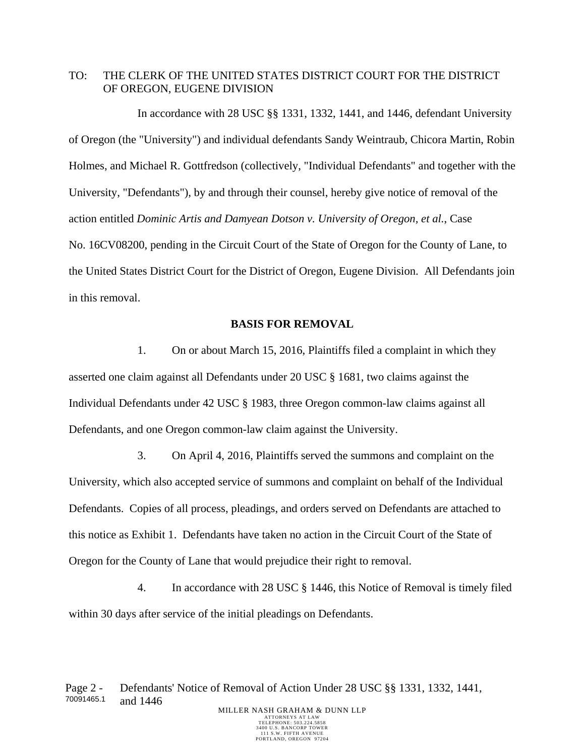## TO: THE CLERK OF THE UNITED STATES DISTRICT COURT FOR THE DISTRICT OF OREGON, EUGENE DIVISION

In accordance with 28 USC §§ 1331, 1332, 1441, and 1446, defendant University of Oregon (the "University") and individual defendants Sandy Weintraub, Chicora Martin, Robin Holmes, and Michael R. Gottfredson (collectively, "Individual Defendants" and together with the University, "Defendants"), by and through their counsel, hereby give notice of removal of the action entitled *Dominic Artis and Damyean Dotson v. University of Oregon, et al.*, Case No. 16CV08200, pending in the Circuit Court of the State of Oregon for the County of Lane, to the United States District Court for the District of Oregon, Eugene Division. All Defendants join in this removal.

### **BASIS FOR REMOVAL**

1. On or about March 15, 2016, Plaintiffs filed a complaint in which they asserted one claim against all Defendants under 20 USC § 1681, two claims against the Individual Defendants under 42 USC § 1983, three Oregon common-law claims against all Defendants, and one Oregon common-law claim against the University.

3. On April 4, 2016, Plaintiffs served the summons and complaint on the University, which also accepted service of summons and complaint on behalf of the Individual Defendants. Copies of all process, pleadings, and orders served on Defendants are attached to this notice as Exhibit 1. Defendants have taken no action in the Circuit Court of the State of Oregon for the County of Lane that would prejudice their right to removal.

4. In accordance with 28 USC § 1446, this Notice of Removal is timely filed within 30 days after service of the initial pleadings on Defendants.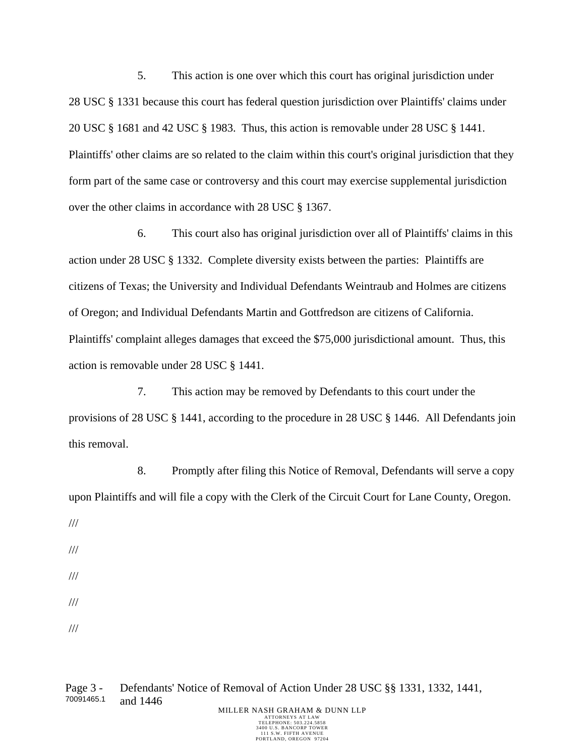5. This action is one over which this court has original jurisdiction under 28 USC § 1331 because this court has federal question jurisdiction over Plaintiffs' claims under 20 USC § 1681 and 42 USC § 1983. Thus, this action is removable under 28 USC § 1441. Plaintiffs' other claims are so related to the claim within this court's original jurisdiction that they form part of the same case or controversy and this court may exercise supplemental jurisdiction over the other claims in accordance with 28 USC § 1367.

6. This court also has original jurisdiction over all of Plaintiffs' claims in this action under 28 USC § 1332. Complete diversity exists between the parties: Plaintiffs are citizens of Texas; the University and Individual Defendants Weintraub and Holmes are citizens of Oregon; and Individual Defendants Martin and Gottfredson are citizens of California. Plaintiffs' complaint alleges damages that exceed the \$75,000 jurisdictional amount. Thus, this action is removable under 28 USC § 1441.

7. This action may be removed by Defendants to this court under the provisions of 28 USC § 1441, according to the procedure in 28 USC § 1446. All Defendants join this removal.

8. Promptly after filing this Notice of Removal, Defendants will serve a copy upon Plaintiffs and will file a copy with the Clerk of the Circuit Court for Lane County, Oregon.

- ///
- ///
- ///
- ///
- ///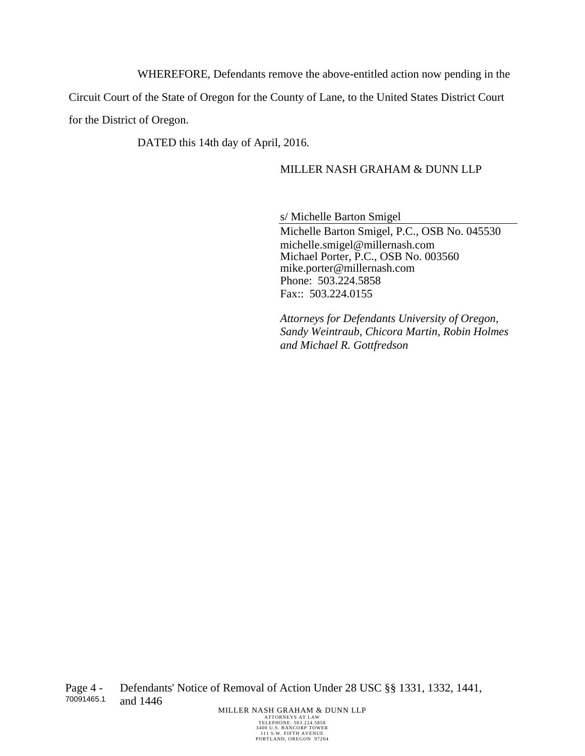WHEREFORE, Defendants remove the above-entitled action now pending in the

Circuit Court of the State of Oregon for the County of Lane, to the United States District Court

for the District of Oregon.

DATED this 14th day of April, 2016.

# MILLER NASH GRAHAM & DUNN LLP

s/ Michelle Barton Smigel

Michelle Barton Smigel, P.C., OSB No. 045530 michelle.smigel@millernash.com Michael Porter, P.C., OSB No. 003560 mike.porter@millernash.com Phone: 503.224.5858 Fax:: 503.224.0155

*Attorneys for Defendants University of Oregon, Sandy Weintraub, Chicora Martin, Robin Holmes and Michael R. Gottfredson*

Page 4 - 70091465.1 Defendants' Notice of Removal of Action Under 28 USC §§ 1331, 1332, 1441, and 1446